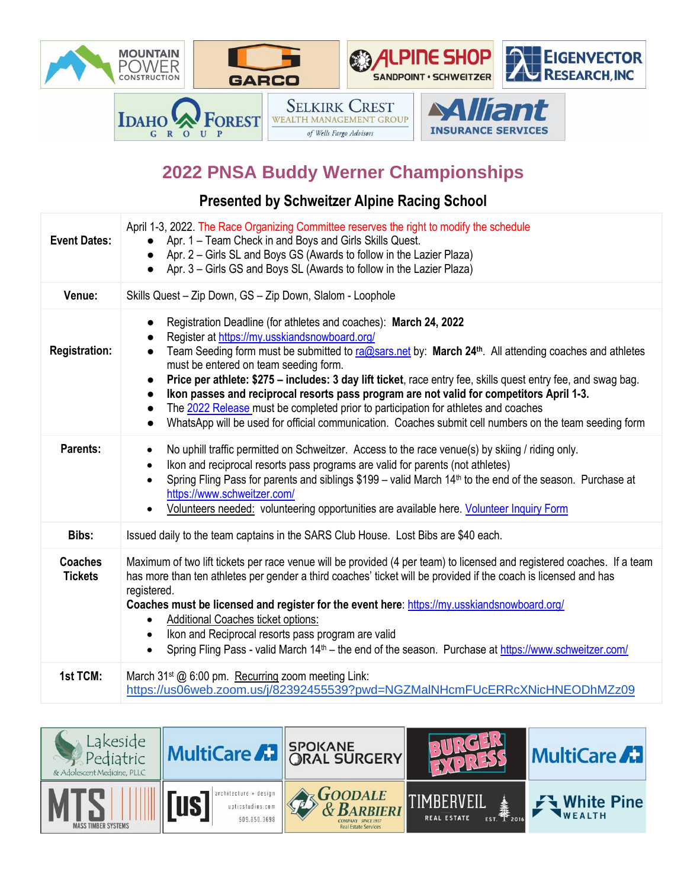

## **2022 PNSA Buddy Werner Championships**

## **Presented by Schweitzer Alpine Racing School**

| <b>Event Dates:</b>              | April 1-3, 2022. The Race Organizing Committee reserves the right to modify the schedule<br>Apr. 1 – Team Check in and Boys and Girls Skills Quest.<br>• Apr. 2 – Girls SL and Boys GS (Awards to follow in the Lazier Plaza)<br>• Apr. 3 – Girls GS and Boys SL (Awards to follow in the Lazier Plaza)                                                                                                                                                                                                                                                                                                                                                                                                                                                        |
|----------------------------------|----------------------------------------------------------------------------------------------------------------------------------------------------------------------------------------------------------------------------------------------------------------------------------------------------------------------------------------------------------------------------------------------------------------------------------------------------------------------------------------------------------------------------------------------------------------------------------------------------------------------------------------------------------------------------------------------------------------------------------------------------------------|
| Venue:                           | Skills Quest - Zip Down, GS - Zip Down, Slalom - Loophole                                                                                                                                                                                                                                                                                                                                                                                                                                                                                                                                                                                                                                                                                                      |
| <b>Registration:</b>             | Registration Deadline (for athletes and coaches): March 24, 2022<br>$\bullet$<br>Register at https://my.usskiandsnowboard.org/<br>Team Seeding form must be submitted to ra@sars.net by: March 24 <sup>th</sup> . All attending coaches and athletes<br>$\bullet$<br>must be entered on team seeding form.<br>Price per athlete: \$275 - includes: 3 day lift ticket, race entry fee, skills quest entry fee, and swag bag.<br>$\bullet$<br>Ikon passes and reciprocal resorts pass program are not valid for competitors April 1-3.<br>$\bullet$<br>The 2022 Release must be completed prior to participation for athletes and coaches<br>WhatsApp will be used for official communication. Coaches submit cell numbers on the team seeding form<br>$\bullet$ |
| Parents:                         | No uphill traffic permitted on Schweitzer. Access to the race venue(s) by skiing / riding only.<br>$\bullet$<br>Ikon and reciprocal resorts pass programs are valid for parents (not athletes)<br>$\bullet$<br>Spring Fling Pass for parents and siblings \$199 - valid March 14 <sup>th</sup> to the end of the season. Purchase at<br>$\bullet$<br>https://www.schweitzer.com/<br>Volunteers needed: volunteering opportunities are available here. Volunteer Inquiry Form                                                                                                                                                                                                                                                                                   |
| Bibs:                            | Issued daily to the team captains in the SARS Club House. Lost Bibs are \$40 each.                                                                                                                                                                                                                                                                                                                                                                                                                                                                                                                                                                                                                                                                             |
| <b>Coaches</b><br><b>Tickets</b> | Maximum of two lift tickets per race venue will be provided (4 per team) to licensed and registered coaches. If a team<br>has more than ten athletes per gender a third coaches' ticket will be provided if the coach is licensed and has<br>registered.<br>Coaches must be licensed and register for the event here: https://my.usskiandsnowboard.org/<br>Additional Coaches ticket options:<br>$\bullet$<br>Ikon and Reciprocal resorts pass program are valid<br>$\bullet$<br>Spring Fling Pass - valid March 14 <sup>th</sup> – the end of the season. Purchase at https://www.schweitzer.com/                                                                                                                                                             |
| 1st TCM:                         | March 31 <sup>st</sup> @ 6:00 pm. Recurring zoom meeting Link:<br>https://us06web.zoom.us/j/82392455539?pwd=NGZMalNHcmFUcERRcXNicHNEODhMZz09                                                                                                                                                                                                                                                                                                                                                                                                                                                                                                                                                                                                                   |